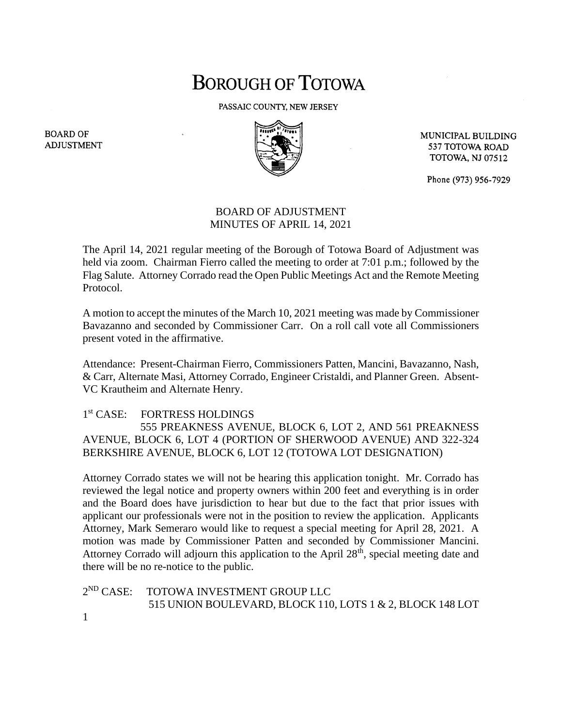## **BOROUGH OF TOTOWA**

PASSAIC COUNTY, NEW JERSEY



MUNICIPAL BUILDING 537 TOTOWA ROAD **TOTOWA, NJ 07512** 

Phone (973) 956-7929

## BOARD OF ADJUSTMENT MINUTES OF APRIL 14, 2021

The April 14, 2021 regular meeting of the Borough of Totowa Board of Adjustment was held via zoom. Chairman Fierro called the meeting to order at 7:01 p.m.; followed by the Flag Salute. Attorney Corrado read the Open Public Meetings Act and the Remote Meeting Protocol.

A motion to accept the minutes of the March 10, 2021 meeting was made by Commissioner Bavazanno and seconded by Commissioner Carr. On a roll call vote all Commissioners present voted in the affirmative.

Attendance: Present-Chairman Fierro, Commissioners Patten, Mancini, Bavazanno, Nash, & Carr, Alternate Masi, Attorney Corrado, Engineer Cristaldi, and Planner Green. Absent-VC Krautheim and Alternate Henry.

## $1<sup>st</sup> CASE:$ FORTRESS HOLDINGS

 555 PREAKNESS AVENUE, BLOCK 6, LOT 2, AND 561 PREAKNESS AVENUE, BLOCK 6, LOT 4 (PORTION OF SHERWOOD AVENUE) AND 322-324 BERKSHIRE AVENUE, BLOCK 6, LOT 12 (TOTOWA LOT DESIGNATION)

Attorney Corrado states we will not be hearing this application tonight. Mr. Corrado has reviewed the legal notice and property owners within 200 feet and everything is in order and the Board does have jurisdiction to hear but due to the fact that prior issues with applicant our professionals were not in the position to review the application. Applicants Attorney, Mark Semeraro would like to request a special meeting for April 28, 2021. A motion was made by Commissioner Patten and seconded by Commissioner Mancini. Attorney Corrado will adjourn this application to the April 28<sup>th</sup>, special meeting date and there will be no re-notice to the public.

 $2^{ND}$  CASE: TOTOWA INVESTMENT GROUP LLC 515 UNION BOULEVARD, BLOCK 110, LOTS 1 & 2, BLOCK 148 LOT

**BOARD OF ADJUSTMENT** 

1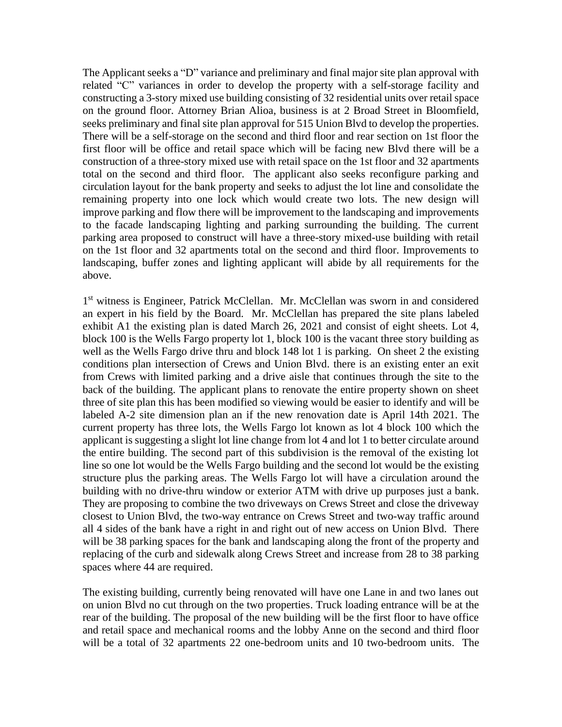The Applicant seeks a "D" variance and preliminary and final major site plan approval with related "C" variances in order to develop the property with a self-storage facility and constructing a 3-story mixed use building consisting of 32 residential units over retail space on the ground floor. Attorney Brian Alioa, business is at 2 Broad Street in Bloomfield, seeks preliminary and final site plan approval for 515 Union Blvd to develop the properties. There will be a self-storage on the second and third floor and rear section on 1st floor the first floor will be office and retail space which will be facing new Blvd there will be a construction of a three-story mixed use with retail space on the 1st floor and 32 apartments total on the second and third floor. The applicant also seeks reconfigure parking and circulation layout for the bank property and seeks to adjust the lot line and consolidate the remaining property into one lock which would create two lots. The new design will improve parking and flow there will be improvement to the landscaping and improvements to the facade landscaping lighting and parking surrounding the building. The current parking area proposed to construct will have a three-story mixed-use building with retail on the 1st floor and 32 apartments total on the second and third floor. Improvements to landscaping, buffer zones and lighting applicant will abide by all requirements for the above.

1<sup>st</sup> witness is Engineer, Patrick McClellan. Mr. McClellan was sworn in and considered an expert in his field by the Board. Mr. McClellan has prepared the site plans labeled exhibit A1 the existing plan is dated March 26, 2021 and consist of eight sheets. Lot 4, block 100 is the Wells Fargo property lot 1, block 100 is the vacant three story building as well as the Wells Fargo drive thru and block 148 lot 1 is parking. On sheet 2 the existing conditions plan intersection of Crews and Union Blvd. there is an existing enter an exit from Crews with limited parking and a drive aisle that continues through the site to the back of the building. The applicant plans to renovate the entire property shown on sheet three of site plan this has been modified so viewing would be easier to identify and will be labeled A-2 site dimension plan an if the new renovation date is April 14th 2021. The current property has three lots, the Wells Fargo lot known as lot 4 block 100 which the applicant is suggesting a slight lot line change from lot 4 and lot 1 to better circulate around the entire building. The second part of this subdivision is the removal of the existing lot line so one lot would be the Wells Fargo building and the second lot would be the existing structure plus the parking areas. The Wells Fargo lot will have a circulation around the building with no drive-thru window or exterior ATM with drive up purposes just a bank. They are proposing to combine the two driveways on Crews Street and close the driveway closest to Union Blvd, the two-way entrance on Crews Street and two-way traffic around all 4 sides of the bank have a right in and right out of new access on Union Blvd. There will be 38 parking spaces for the bank and landscaping along the front of the property and replacing of the curb and sidewalk along Crews Street and increase from 28 to 38 parking spaces where 44 are required.

The existing building, currently being renovated will have one Lane in and two lanes out on union Blvd no cut through on the two properties. Truck loading entrance will be at the rear of the building. The proposal of the new building will be the first floor to have office and retail space and mechanical rooms and the lobby Anne on the second and third floor will be a total of 32 apartments 22 one-bedroom units and 10 two-bedroom units. The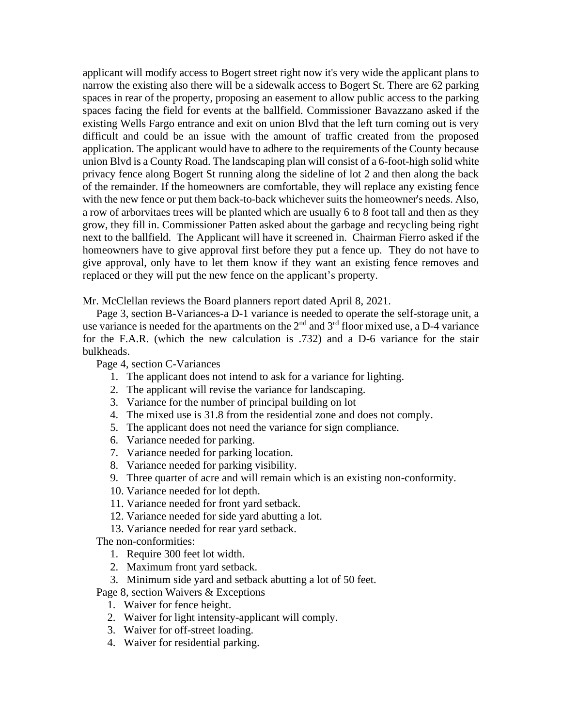applicant will modify access to Bogert street right now it's very wide the applicant plans to narrow the existing also there will be a sidewalk access to Bogert St. There are 62 parking spaces in rear of the property, proposing an easement to allow public access to the parking spaces facing the field for events at the ballfield. Commissioner Bavazzano asked if the existing Wells Fargo entrance and exit on union Blvd that the left turn coming out is very difficult and could be an issue with the amount of traffic created from the proposed application. The applicant would have to adhere to the requirements of the County because union Blvd is a County Road. The landscaping plan will consist of a 6-foot-high solid white privacy fence along Bogert St running along the sideline of lot 2 and then along the back of the remainder. If the homeowners are comfortable, they will replace any existing fence with the new fence or put them back-to-back whichever suits the homeowner's needs. Also, a row of arborvitaes trees will be planted which are usually 6 to 8 foot tall and then as they grow, they fill in. Commissioner Patten asked about the garbage and recycling being right next to the ballfield. The Applicant will have it screened in. Chairman Fierro asked if the homeowners have to give approval first before they put a fence up. They do not have to give approval, only have to let them know if they want an existing fence removes and replaced or they will put the new fence on the applicant's property.

Mr. McClellan reviews the Board planners report dated April 8, 2021.

 Page 3, section B-Variances-a D-1 variance is needed to operate the self-storage unit, a use variance is needed for the apartments on the  $2<sup>nd</sup>$  and  $3<sup>rd</sup>$  floor mixed use, a D-4 variance for the F.A.R. (which the new calculation is .732) and a D-6 variance for the stair bulkheads.

Page 4, section C-Variances

- 1. The applicant does not intend to ask for a variance for lighting.
- 2. The applicant will revise the variance for landscaping.
- 3. Variance for the number of principal building on lot
- 4. The mixed use is 31.8 from the residential zone and does not comply.
- 5. The applicant does not need the variance for sign compliance.
- 6. Variance needed for parking.
- 7. Variance needed for parking location.
- 8. Variance needed for parking visibility.
- 9. Three quarter of acre and will remain which is an existing non-conformity.
- 10. Variance needed for lot depth.
- 11. Variance needed for front yard setback.
- 12. Variance needed for side yard abutting a lot.
- 13. Variance needed for rear yard setback.

The non-conformities:

- 1. Require 300 feet lot width.
- 2. Maximum front yard setback.
- 3. Minimum side yard and setback abutting a lot of 50 feet.

Page 8, section Waivers & Exceptions

- 1. Waiver for fence height.
- 2. Waiver for light intensity-applicant will comply.
- 3. Waiver for off-street loading.
- 4. Waiver for residential parking.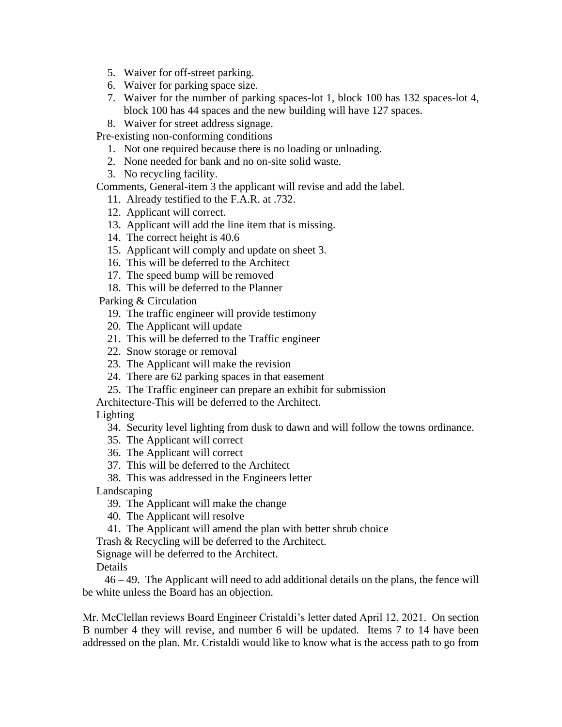- 5. Waiver for off-street parking.
- 6. Waiver for parking space size.
- 7. Waiver for the number of parking spaces-lot 1, block 100 has 132 spaces-lot 4, block 100 has 44 spaces and the new building will have 127 spaces.
- 8. Waiver for street address signage.

Pre-existing non-conforming conditions

- 1. Not one required because there is no loading or unloading.
- 2. None needed for bank and no on-site solid waste.
- 3. No recycling facility.

Comments, General-item 3 the applicant will revise and add the label.

- 11. Already testified to the F.A.R. at .732.
- 12. Applicant will correct.
- 13. Applicant will add the line item that is missing.
- 14. The correct height is 40.6
- 15. Applicant will comply and update on sheet 3.
- 16. This will be deferred to the Architect
- 17. The speed bump will be removed
- 18. This will be deferred to the Planner

Parking & Circulation

- 19. The traffic engineer will provide testimony
- 20. The Applicant will update
- 21. This will be deferred to the Traffic engineer
- 22. Snow storage or removal
- 23. The Applicant will make the revision
- 24. There are 62 parking spaces in that easement
- 25. The Traffic engineer can prepare an exhibit for submission

Architecture-This will be deferred to the Architect.

Lighting

34. Security level lighting from dusk to dawn and will follow the towns ordinance.

- 35. The Applicant will correct
- 36. The Applicant will correct
- 37. This will be deferred to the Architect

38. This was addressed in the Engineers letter

Landscaping

- 39. The Applicant will make the change
- 40. The Applicant will resolve
- 41. The Applicant will amend the plan with better shrub choice
- Trash & Recycling will be deferred to the Architect.

Signage will be deferred to the Architect.

Details

 46 – 49. The Applicant will need to add additional details on the plans, the fence will be white unless the Board has an objection.

Mr. McClellan reviews Board Engineer Cristaldi's letter dated April 12, 2021. On section B number 4 they will revise, and number 6 will be updated. Items 7 to 14 have been addressed on the plan. Mr. Cristaldi would like to know what is the access path to go from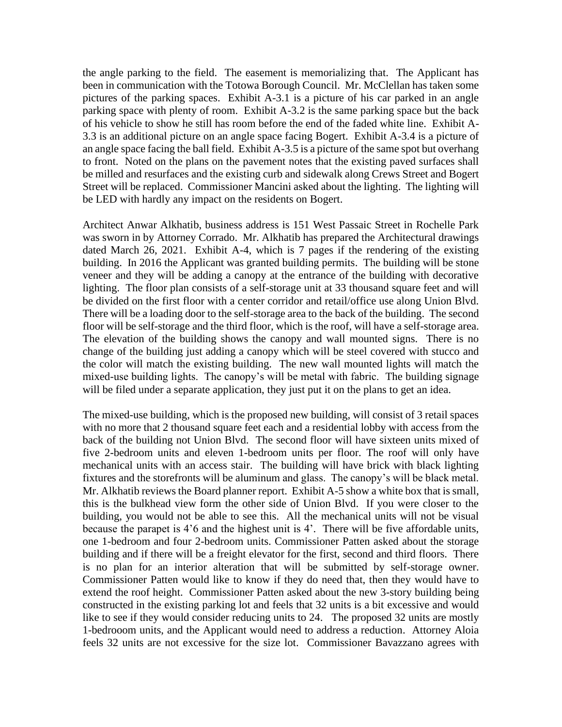the angle parking to the field. The easement is memorializing that. The Applicant has been in communication with the Totowa Borough Council. Mr. McClellan has taken some pictures of the parking spaces. Exhibit A-3.1 is a picture of his car parked in an angle parking space with plenty of room. Exhibit A-3.2 is the same parking space but the back of his vehicle to show he still has room before the end of the faded white line. Exhibit A-3.3 is an additional picture on an angle space facing Bogert. Exhibit A-3.4 is a picture of an angle space facing the ball field. Exhibit A-3.5 is a picture of the same spot but overhang to front. Noted on the plans on the pavement notes that the existing paved surfaces shall be milled and resurfaces and the existing curb and sidewalk along Crews Street and Bogert Street will be replaced. Commissioner Mancini asked about the lighting. The lighting will be LED with hardly any impact on the residents on Bogert.

Architect Anwar Alkhatib, business address is 151 West Passaic Street in Rochelle Park was sworn in by Attorney Corrado. Mr. Alkhatib has prepared the Architectural drawings dated March 26, 2021. Exhibit A-4, which is 7 pages if the rendering of the existing building. In 2016 the Applicant was granted building permits. The building will be stone veneer and they will be adding a canopy at the entrance of the building with decorative lighting. The floor plan consists of a self-storage unit at 33 thousand square feet and will be divided on the first floor with a center corridor and retail/office use along Union Blvd. There will be a loading door to the self-storage area to the back of the building. The second floor will be self-storage and the third floor, which is the roof, will have a self-storage area. The elevation of the building shows the canopy and wall mounted signs. There is no change of the building just adding a canopy which will be steel covered with stucco and the color will match the existing building. The new wall mounted lights will match the mixed-use building lights. The canopy's will be metal with fabric. The building signage will be filed under a separate application, they just put it on the plans to get an idea.

The mixed-use building, which is the proposed new building, will consist of 3 retail spaces with no more that 2 thousand square feet each and a residential lobby with access from the back of the building not Union Blvd. The second floor will have sixteen units mixed of five 2-bedroom units and eleven 1-bedroom units per floor. The roof will only have mechanical units with an access stair. The building will have brick with black lighting fixtures and the storefronts will be aluminum and glass. The canopy's will be black metal. Mr. Alkhatib reviews the Board planner report. Exhibit A-5 show a white box that is small, this is the bulkhead view form the other side of Union Blvd. If you were closer to the building, you would not be able to see this. All the mechanical units will not be visual because the parapet is 4'6 and the highest unit is 4'. There will be five affordable units, one 1-bedroom and four 2-bedroom units. Commissioner Patten asked about the storage building and if there will be a freight elevator for the first, second and third floors. There is no plan for an interior alteration that will be submitted by self-storage owner. Commissioner Patten would like to know if they do need that, then they would have to extend the roof height. Commissioner Patten asked about the new 3-story building being constructed in the existing parking lot and feels that 32 units is a bit excessive and would like to see if they would consider reducing units to 24. The proposed 32 units are mostly 1-bedrooom units, and the Applicant would need to address a reduction. Attorney Aloia feels 32 units are not excessive for the size lot. Commissioner Bavazzano agrees with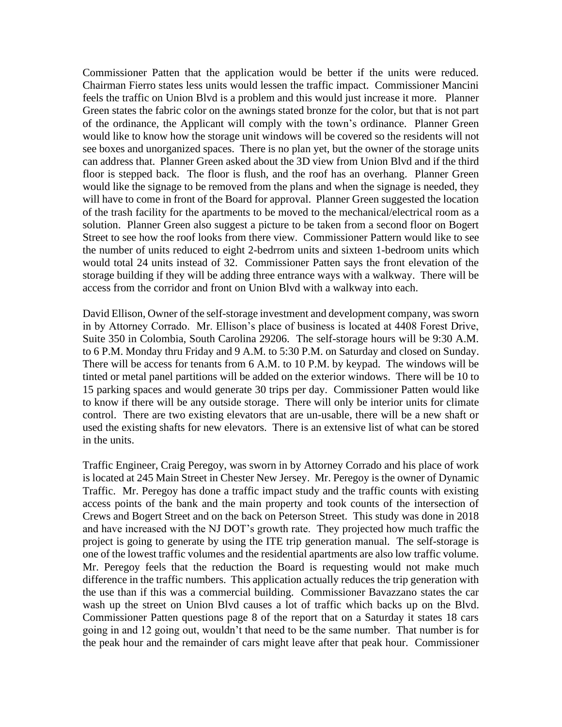Commissioner Patten that the application would be better if the units were reduced. Chairman Fierro states less units would lessen the traffic impact. Commissioner Mancini feels the traffic on Union Blvd is a problem and this would just increase it more. Planner Green states the fabric color on the awnings stated bronze for the color, but that is not part of the ordinance, the Applicant will comply with the town's ordinance. Planner Green would like to know how the storage unit windows will be covered so the residents will not see boxes and unorganized spaces. There is no plan yet, but the owner of the storage units can address that. Planner Green asked about the 3D view from Union Blvd and if the third floor is stepped back. The floor is flush, and the roof has an overhang. Planner Green would like the signage to be removed from the plans and when the signage is needed, they will have to come in front of the Board for approval. Planner Green suggested the location of the trash facility for the apartments to be moved to the mechanical/electrical room as a solution. Planner Green also suggest a picture to be taken from a second floor on Bogert Street to see how the roof looks from there view. Commissioner Pattern would like to see the number of units reduced to eight 2-bedrrom units and sixteen 1-bedroom units which would total 24 units instead of 32. Commissioner Patten says the front elevation of the storage building if they will be adding three entrance ways with a walkway. There will be access from the corridor and front on Union Blvd with a walkway into each.

David Ellison, Owner of the self-storage investment and development company, was sworn in by Attorney Corrado. Mr. Ellison's place of business is located at 4408 Forest Drive, Suite 350 in Colombia, South Carolina 29206. The self-storage hours will be 9:30 A.M. to 6 P.M. Monday thru Friday and 9 A.M. to 5:30 P.M. on Saturday and closed on Sunday. There will be access for tenants from 6 A.M. to 10 P.M. by keypad. The windows will be tinted or metal panel partitions will be added on the exterior windows. There will be 10 to 15 parking spaces and would generate 30 trips per day. Commissioner Patten would like to know if there will be any outside storage. There will only be interior units for climate control. There are two existing elevators that are un-usable, there will be a new shaft or used the existing shafts for new elevators. There is an extensive list of what can be stored in the units.

Traffic Engineer, Craig Peregoy, was sworn in by Attorney Corrado and his place of work is located at 245 Main Street in Chester New Jersey. Mr. Peregoy is the owner of Dynamic Traffic. Mr. Peregoy has done a traffic impact study and the traffic counts with existing access points of the bank and the main property and took counts of the intersection of Crews and Bogert Street and on the back on Peterson Street. This study was done in 2018 and have increased with the NJ DOT's growth rate. They projected how much traffic the project is going to generate by using the ITE trip generation manual. The self-storage is one of the lowest traffic volumes and the residential apartments are also low traffic volume. Mr. Peregoy feels that the reduction the Board is requesting would not make much difference in the traffic numbers. This application actually reduces the trip generation with the use than if this was a commercial building. Commissioner Bavazzano states the car wash up the street on Union Blvd causes a lot of traffic which backs up on the Blvd. Commissioner Patten questions page 8 of the report that on a Saturday it states 18 cars going in and 12 going out, wouldn't that need to be the same number. That number is for the peak hour and the remainder of cars might leave after that peak hour. Commissioner